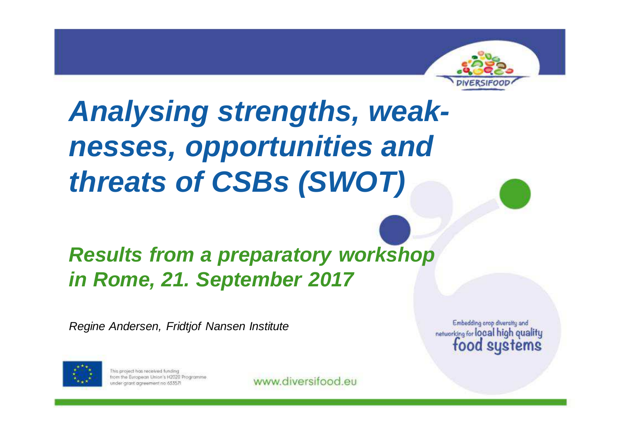

### **Analysing strengths, weaknesses, opportunities and threats of CSBs (SWOT)**

#### **Results from a preparatory workshop in Rome, 21. September 2017**

Regine Andersen, Fridtjof Nansen Institute



This project has received funding from the European Union's H2020 Programme under grant agreement no 63357!

www.diversifood.eu

Embedding orop diversity and networking for local high quality food systems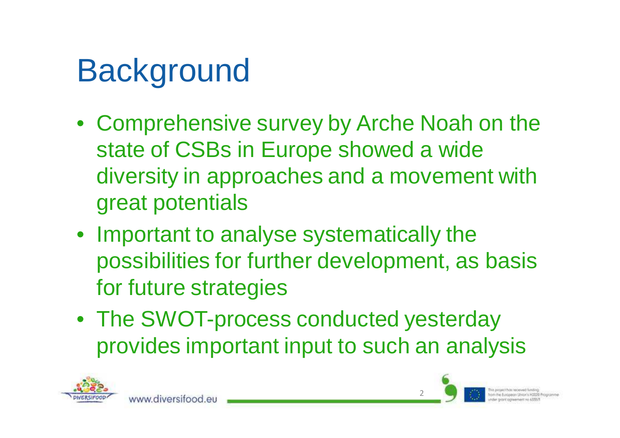## **Background**

www.diversitood.e

- Comprehensive survey by Arche Noah on the state of CSBs in Europe showed a wide diversity in approaches and a movement withgreat potentials
- Important to analyse systematically the possibilities for further development, as basis for future strategies
- The SWOT-process conducted yesterday provides important input to such an analysis



2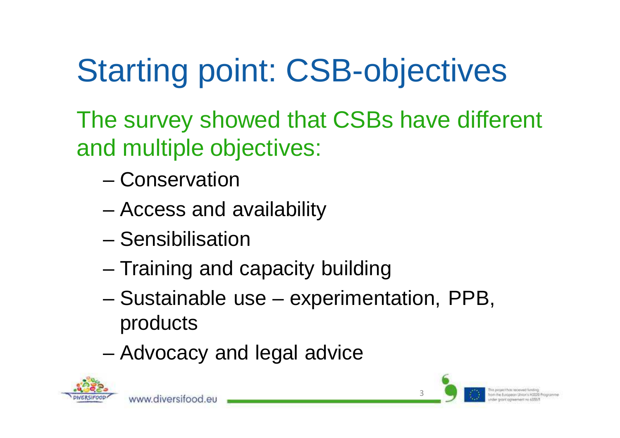# Starting point: CSB-objectives

The survey showed that CSBs have different and multiple objectives:

- –**Conservation**
- –Access and availability
- –**Sensibilisation**

www.diversifood.et

- –Training and capacity building
- – Sustainable use – experimentation, PPB, products
- –Advocacy and legal advice



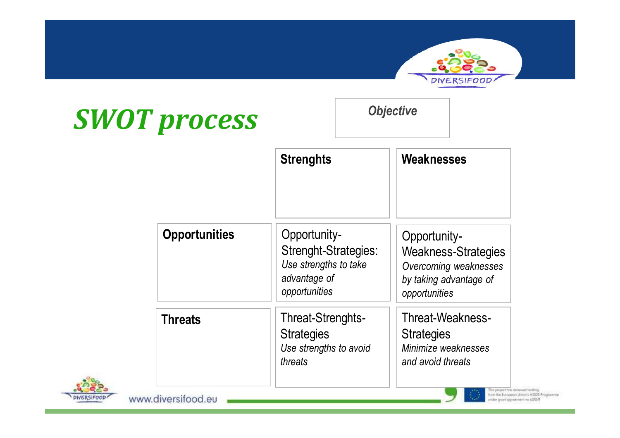### *SWOT process*



|                      | <b>Strenghts</b>                                                                               | <b>Weaknesses</b>                                                                                              |
|----------------------|------------------------------------------------------------------------------------------------|----------------------------------------------------------------------------------------------------------------|
| <b>Opportunities</b> | Opportunity-<br>Strenght-Strategies:<br>Use strengths to take<br>advantage of<br>opportunities | Opportunity-<br><b>Weakness-Strategies</b><br>Overcoming weaknesses<br>by taking advantage of<br>opportunities |
| <b>Threats</b>       | Threat-Strenghts-<br><b>Strategies</b><br>Use strengths to avoid<br>threats                    | Threat-Weakness-<br><b>Strategies</b><br>Minimize weaknesses<br>and avoid threats                              |

*Objective*

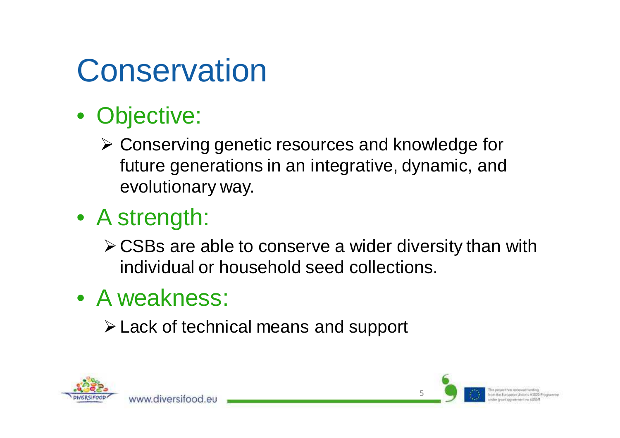## **Conservation**

- Objective:
	- Conserving genetic resources and knowledge for<br>future generations in an integrative dynamic and future generations in an integrative, dynamic, and evolutionary way.
- A strength:
	- **≻CSBs are able to conserve a wider diversity than with** individual or household seed collections.
- A weakness:

www.diversitood.eu

Lack of technical means and support



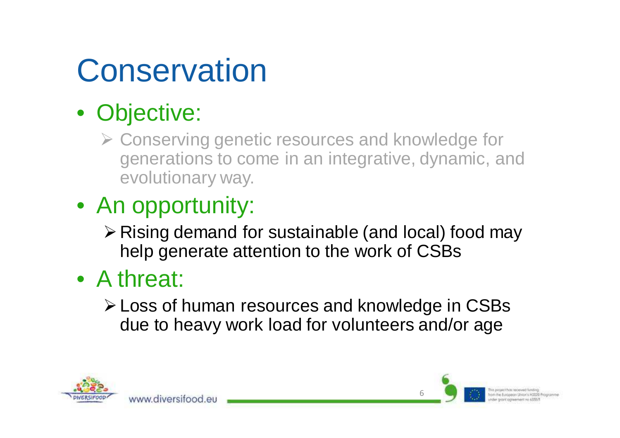## **Conservation**

### • Objective:

- ▶ Conserving genetic resources and knowledge for<br>come in an integrative dynamic are generations to come in an integrative, dynamic, and evolutionary way.
- An opportunity:

www.diversitood.eu

- $\triangleright$  Rising demand for sustainable (and local) food may help generate attention to the work of CSBs
- A threat:
	- Loss of human resources and knowledge in CSBsdue to heavy work load for volunteers and/or age

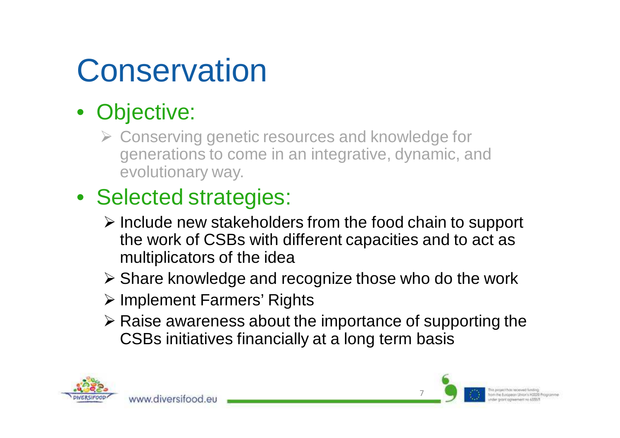## **Conservation**

#### • Objective:

▶ Conserving genetic resources and knowledge for<br/>\n<b>Generations to come in an interactive dynamic</b> generations to come in an integrative, dynamic, and evolutionary way.

### • Selected strategies:

www.diversifood.eu

- Include new stakeholders from the food chain to support<br>The work of CSBs with different canacities and to act as the work of CSBs with different capacities and to act as multiplicators of the idea
- > Share knowledge and recognize those who do the work
- > Implement Farmers' Rights
- $\triangleright$  Raise awareness about the importance of supporting the <br>CSBs initiatives financially at a long term basis CSBs initiatives financially at a long term basis

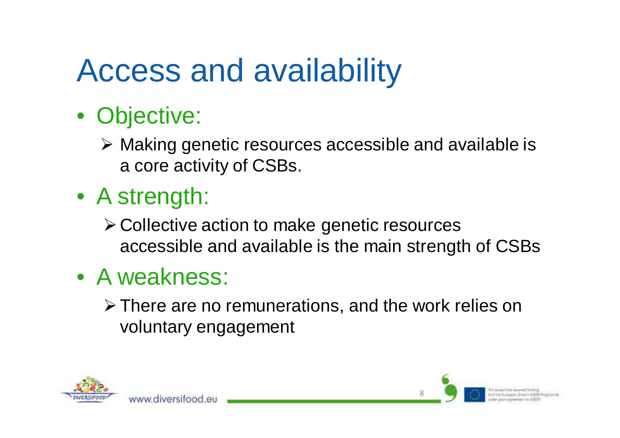## Access and availability

### • Objective:

- > Making genetic resources accessible and available is <br>a serie activity of CSBs a core activity of CSBs.
- A strength:
	- Collective action to make genetic resourcesaccessible and available is the main strength of CSBs
- A weakness:

www.diversitood.eu

 $\triangleright$  There are no remunerations, and the work relies on voluntary engagement



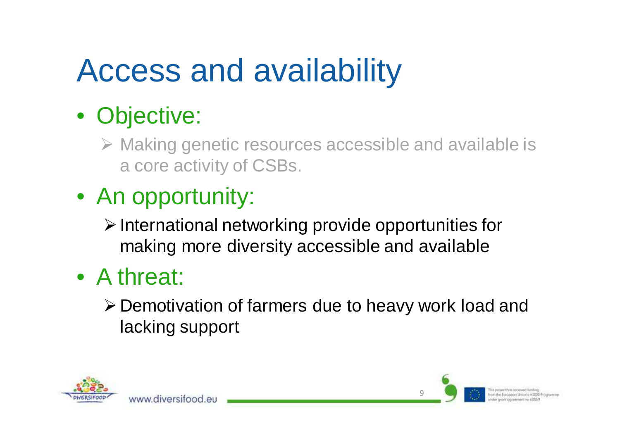## Access and availability

### • Objective:

- > Making genetic resources accessible and available is a core activity of CSBs.
- An opportunity:

www.diversitood.eu

- $\triangleright$  International networking provide opportunities for making more diversity accessible and available
- A threat:
	- Demotivation of farmers due to heavy work load and lacking support

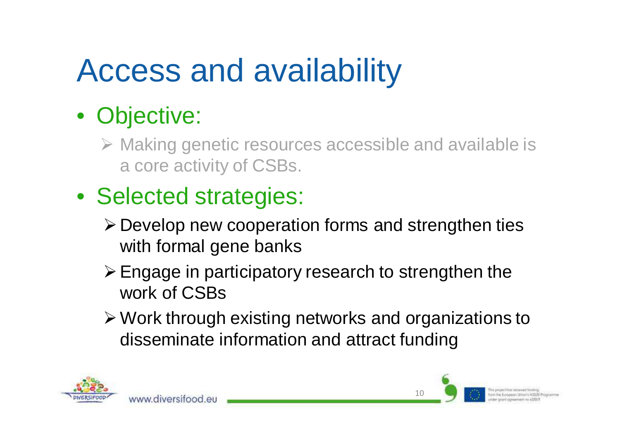## Access and availability

### • Objective:

- > Making genetic resources accessible and available is a core activity of CSBs.
- Selected strategies:

www.diversitood.eu

- Develop new cooperation forms and strengthen ties with formal gene banks
- Engage in participatory research to strengthen the work of CSBs
- Work through existing networks and organizations to disseminate information and attract funding

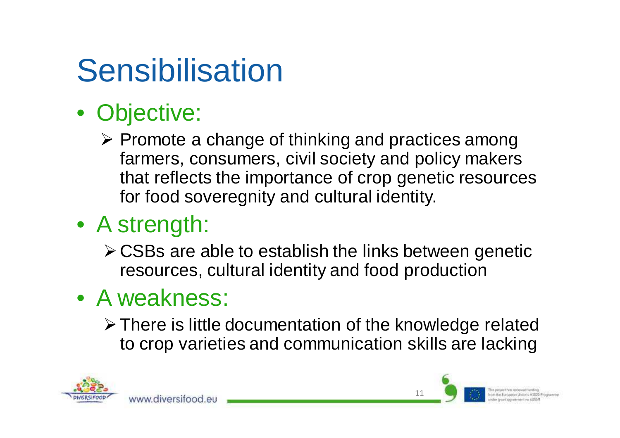## **Sensibilisation**

### • Objective:

Promote a change of thinking and practices among<br>farmers consumers civil society and policy makers farmers, consumers, civil society and policy makers that reflects the importance of crop genetic resources for food soveregnity and cultural identity.

### • A strength:

CSBs are able to establish the links between genetic resources, cultural identity and food production

#### • A weakness:

www.diversitood.e

There is little documentation of the knowledge relatedto crop varieties and communication skills are lacking

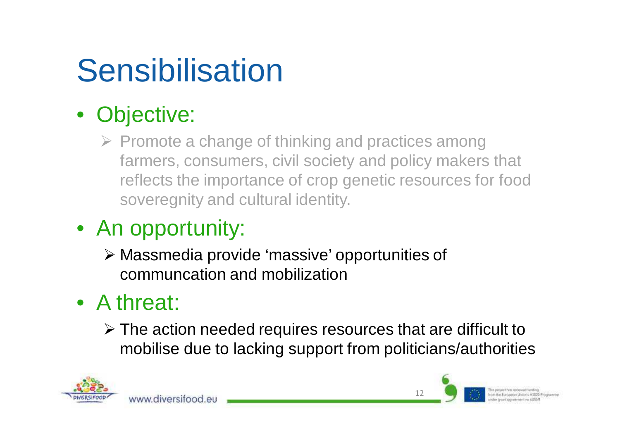## **Sensibilisation**

### • Objective:

▶ Promote a change of thinking and practices among farmers, consumers, civil society and policy makers that reflects the importance of crop genetic resources for food soveregnity and cultural identity.

#### • An opportunity:

www.diversitood.eu

 Massmedia provide 'massive' opportunities of communcation and mobilization

### • A threat:

The action needed requires resources that are difficult to  $\triangleright$  The action needed requires resources that are difficult to mobilise due to lacking support from politicians/authorities

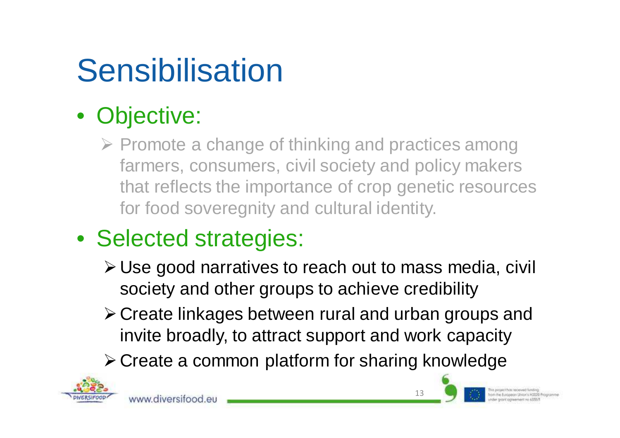## **Sensibilisation**

### • Objective:

> Promote a change of thinking and practices among farmers, consumers, civil society and policy makers that reflects the importance of crop genetic resources for food soveregnity and cultural identity.

### • Selected strategies:

- Use good narratives to reach out to mass media, civil society and other groups to achieve credibility
- Create linkages between rural and urban groups and invite broadly, to attract support and work capacity

**≻ Create a common platform for sharing knowledge** 



13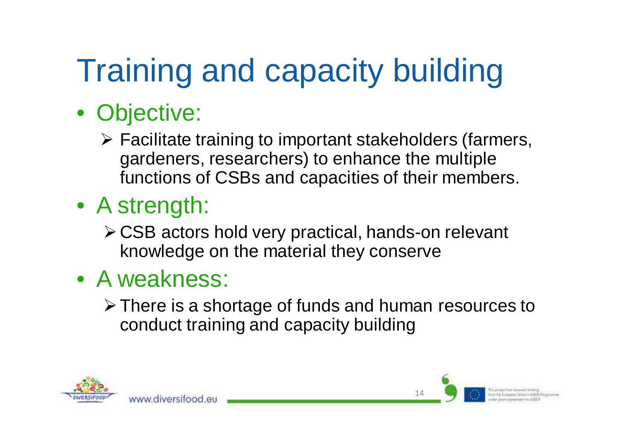# Training and capacity building

- Objective:
	- $\triangleright$  Facilitate training to important stakeholders (farmers,<br>Sardeners, researchers) to enhance the multiple gardeners, researchers) to enhance the multiple functions of CSBs and capacities of their members.
- A strength:
	- CSB actors hold very practical, hands-on relevant knowledge on the material they conserve
- A weakness:

www.diversitood.e

There is a shortage of funds and human resources to conduct training and capacity building

14

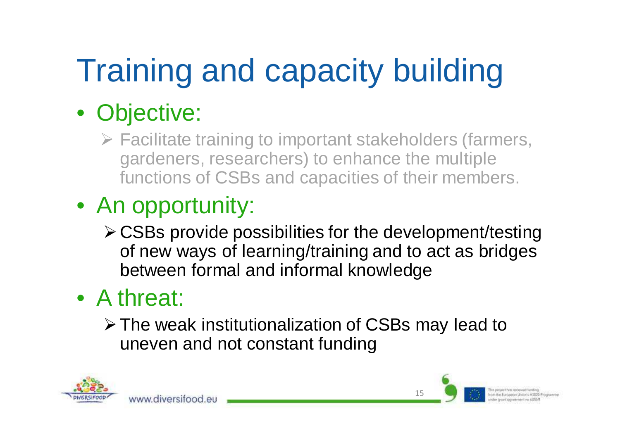# Training and capacity building

### • Objective:

 $\triangleright$  Facilitate training to important stakeholders (farmers,<br>gardeners, researchers) to enhance the multiple gardeners, researchers) to enhance the multiple functions of CSBs and capacities of their members.

### • An opportunity:

www.diversitood.eu

CSBs provide possibilities for the development/testing of new ways of learning/training and to act as bridges between formal and informal knowledge

### • A threat:

The weak institutionalization of CSBs may lead to uneven and not constant funding



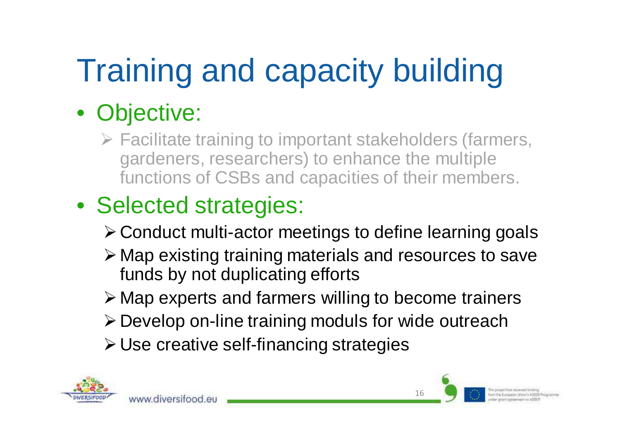# Training and capacity building

### • Objective:

 $\triangleright$  Facilitate training to important stakeholders (farmers,<br>gardeners, researchers) to enhance the multiple gardeners, researchers) to enhance the multiple functions of CSBs and capacities of their members.

## • Selected strategies:

www.diversifood.et

- Conduct multi-actor meetings to define learning goals
- > Map existing training materials and resources to save<br>funds by not duplicating efforts funds by not duplicating efforts
- > Map experts and farmers willing to become trainers
- Develop on-line training moduls for wide outreach
- Use creative self-financing strategies



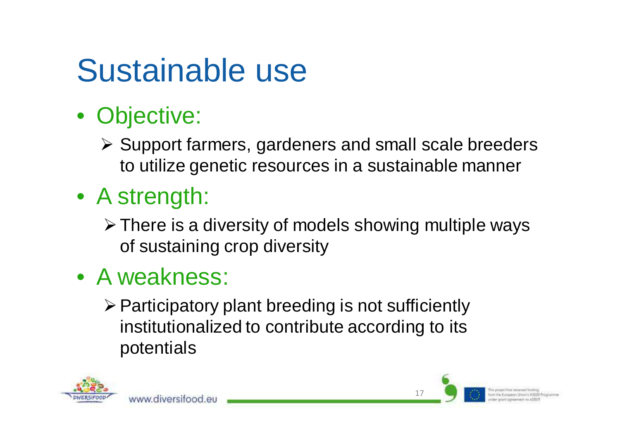#### **Sustainable** use

- Objective:
	- Support farmers, gardeners and small scale breeders <br>As utilize genetic resources in a quotainable manner. to utilize genetic resources in a sustainable manner
- A strength:
	- > There is a diversity of models showing multiple ways of sustaining crop diversity
- A weakness:

www.diversitood.eu

 $\triangleright$  Participatory plant breeding is not sufficiently institutionalized to contribute according to itspotentials

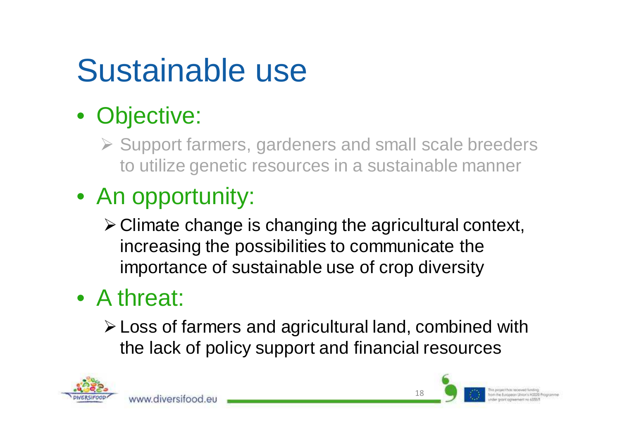#### **Sustainable** use

### • Objective:

Support farmers, gardeners and small scale breeders <br>to utilize genetic resources in a quotainable manner. to utilize genetic resources in a sustainable manner

### • An opportunity:

www.diversitood.eu

Climate change is changing the agricultural context, increasing the possibilities to communicate theimportance of sustainable use of crop diversity

### • A threat:

Loss of farmers and agricultural land, combined withthe lack of policy support and financial resources



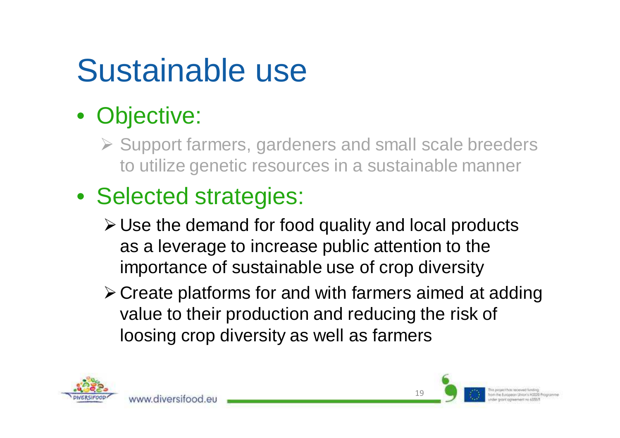#### **Sustainable** use

### • Objective:

- Support farmers, gardeners and small scale breeders <br>to utilize genetic resources in a quotainable manner. to utilize genetic resources in a sustainable manner
- Selected strategies:

www.diversitood.eu

- Use the demand for food quality and local products as a leverage to increase public attention to the importance of sustainable use of crop diversity
- Create platforms for and with farmers aimed at addingvalue to their production and reducing the risk of loosing crop diversity as well as farmers

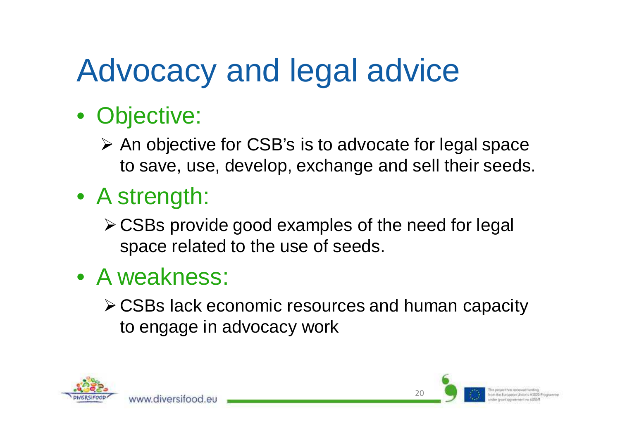## Advocacy and legal advice

- Objective:
	- An objective for CSB's is to advocate for legal space<br>An equal use develop exchange and sell their esede to save, use, develop, exchange and sell their seeds.
- A strength:
	- $\triangleright$  CSBs provide good examples of the need for legal space related to the use of seeds.
- A weakness:

www.diversitood.e

CSBs lack economic resources and human capacityto engage in advocacy work

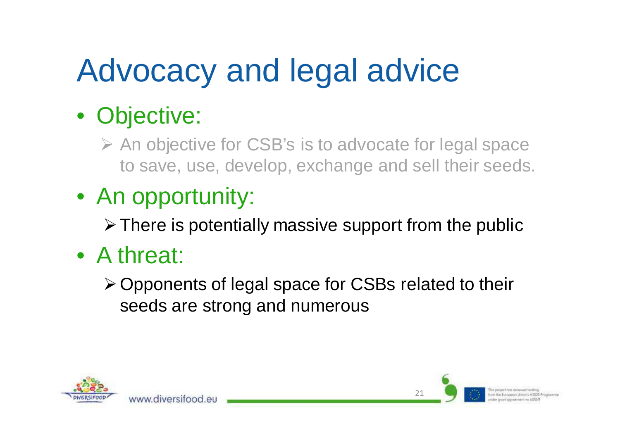# Advocacy and legal advice

### • Objective:

An objective for CSB's is to advocate for legal space to save, use, develop, exchange and sell their seeds.

### • An opportunity:

www.diversitood.e

 $\triangleright$  There is potentially massive support from the public

### • A threat:

Opponents of legal space for CSBs related to theirseeds are strong and numerous



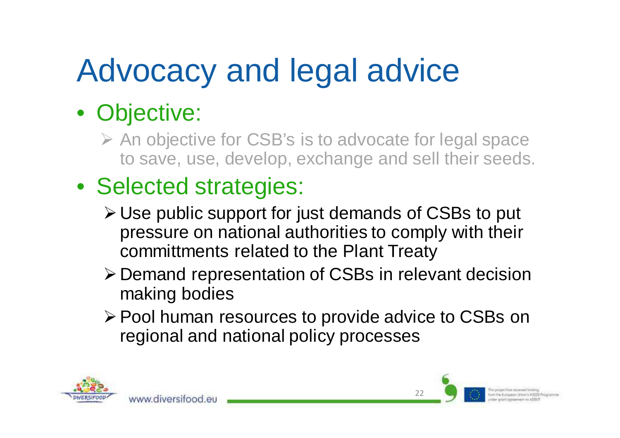# Advocacy and legal advice

### • Objective:

- An objective for CSB's is to advocate for legal space<br>to save use develop exchange and sell their seeds to save, use, develop, exchange and sell their seeds.
- Selected strategies:

www.diversifood.et

- Use public support for just demands of CSBs to put pressure on national authorities to comply with theircommittments related to the Plant Treaty
- Demand representation of CSBs in relevant decisionmaking bodies
- Pool human resources to provide advice to CSBs onregional and national policy processes

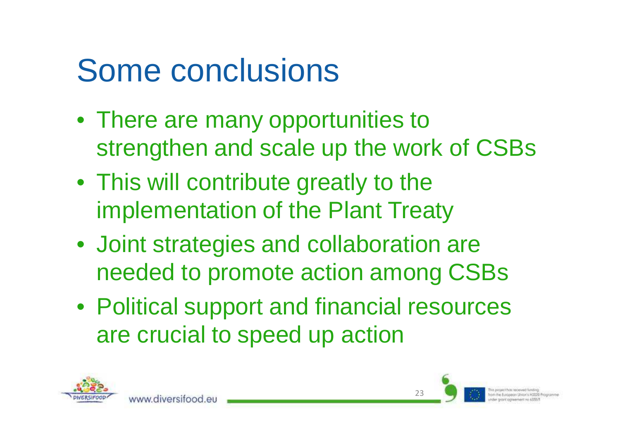# Some conclusions

- There are many opportunities to strengthen and scale up the work of CSBs
- This will contribute greatly to the implementation of the Plant Treaty
- Joint strategies and collaboration are needed to promote action among CSBs
- Political support and financial resourcesare crucial to speed up action



www.diversitood